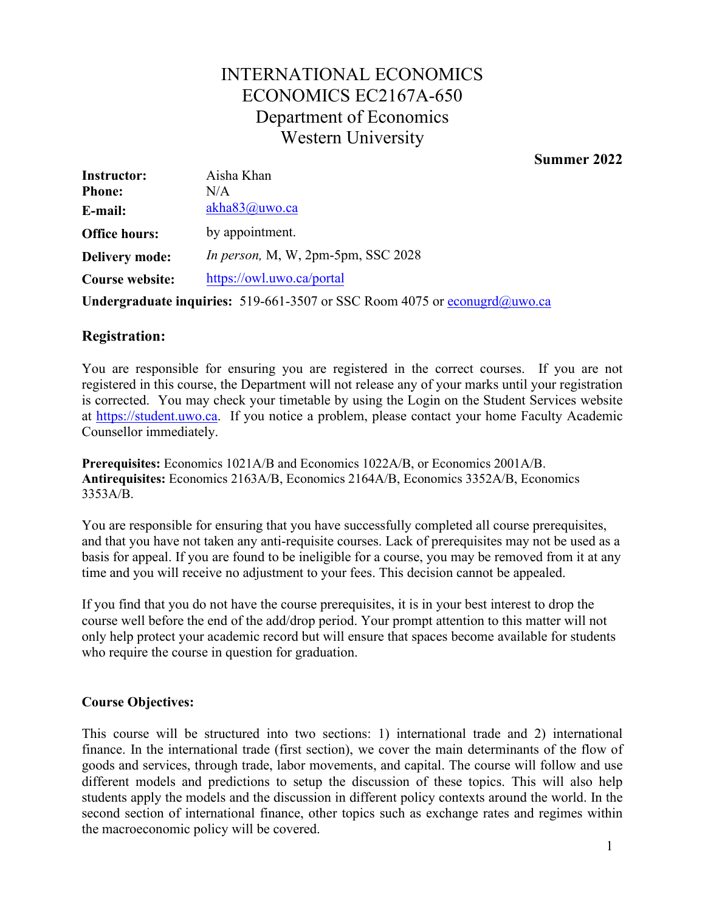# INTERNATIONAL ECONOMICS ECONOMICS EC2167A-650 Department of Economics Western University

## **Summer 2022**

| <b>Instructor:</b>     | Aisha Khan                                                                                    |  |
|------------------------|-----------------------------------------------------------------------------------------------|--|
| <b>Phone:</b>          | N/A                                                                                           |  |
| E-mail:                | akha83@uwo.ca                                                                                 |  |
| <b>Office hours:</b>   | by appointment.                                                                               |  |
| <b>Delivery mode:</b>  | In person, M, W, $2pm-5pm$ , SSC $2028$                                                       |  |
| <b>Course website:</b> | https://owl.uwo.ca/portal                                                                     |  |
|                        | <b>Undergraduate inquiries:</b> 519-661-3507 or SSC Room 4075 or $\frac{1}{2}$ economic score |  |

# **Registration:**

You are responsible for ensuring you are registered in the correct courses. If you are not registered in this course, the Department will not release any of your marks until your registration is corrected. You may check your timetable by using the Login on the Student Services website at [https://student.uwo.ca.](https://student.uwo.ca/) If you notice a problem, please contact your home Faculty Academic Counsellor immediately.

**Prerequisites:** Economics 1021A/B and Economics 1022A/B, or Economics 2001A/B. **Antirequisites:** Economics 2163A/B, Economics 2164A/B, Economics 3352A/B, Economics 3353A/B.

You are responsible for ensuring that you have successfully completed all course prerequisites, and that you have not taken any anti-requisite courses. Lack of prerequisites may not be used as a basis for appeal. If you are found to be ineligible for a course, you may be removed from it at any time and you will receive no adjustment to your fees. This decision cannot be appealed.

If you find that you do not have the course prerequisites, it is in your best interest to drop the course well before the end of the add/drop period. Your prompt attention to this matter will not only help protect your academic record but will ensure that spaces become available for students who require the course in question for graduation.

# **Course Objectives:**

This course will be structured into two sections: 1) international trade and 2) international finance. In the international trade (first section), we cover the main determinants of the flow of goods and services, through trade, labor movements, and capital. The course will follow and use different models and predictions to setup the discussion of these topics. This will also help students apply the models and the discussion in different policy contexts around the world. In the second section of international finance, other topics such as exchange rates and regimes within the macroeconomic policy will be covered.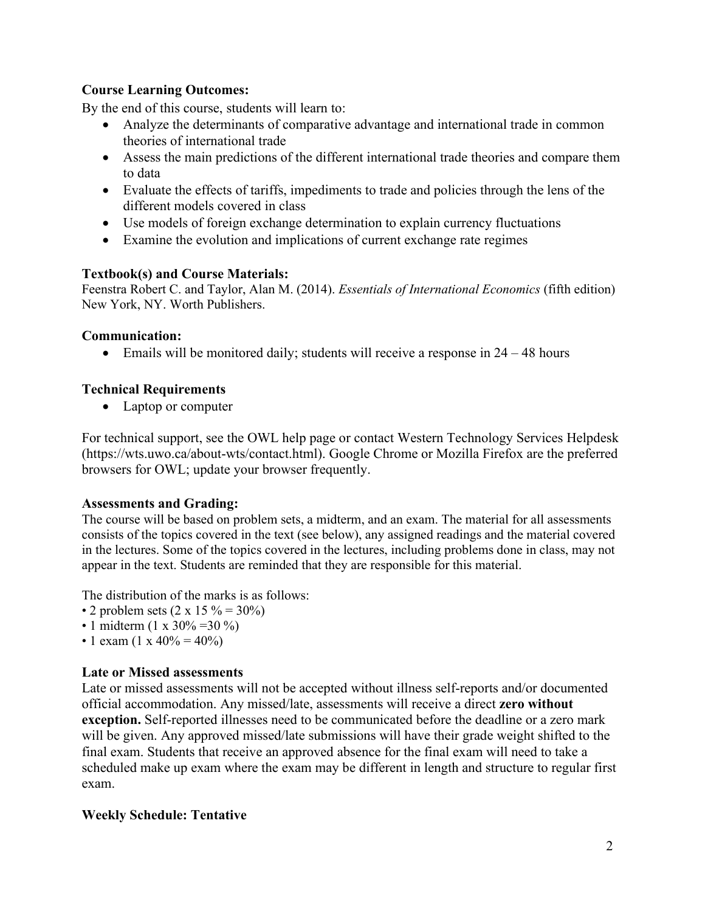# **Course Learning Outcomes:**

By the end of this course, students will learn to:

- Analyze the determinants of comparative advantage and international trade in common theories of international trade
- Assess the main predictions of the different international trade theories and compare them to data
- Evaluate the effects of tariffs, impediments to trade and policies through the lens of the different models covered in class
- Use models of foreign exchange determination to explain currency fluctuations
- Examine the evolution and implications of current exchange rate regimes

#### **Textbook(s) and Course Materials:**

Feenstra Robert C. and Taylor, Alan M. (2014). *Essentials of International Economics* (fifth edition) New York, NY. Worth Publishers.

#### **Communication:**

• Emails will be monitored daily; students will receive a response in  $24 - 48$  hours

# **Technical Requirements**

• Laptop or computer

For technical support, see the OWL help page or contact Western Technology Services Helpdesk [\(https://wts.uwo.ca/about-wts/contact.html\)](https://wts.uwo.ca/about-wts/contact.html). Google Chrome or Mozilla Firefox are the preferred browsers for OWL; update your browser frequently.

#### **Assessments and Grading:**

The course will be based on problem sets, a midterm, and an exam. The material for all assessments consists of the topics covered in the text (see below), any assigned readings and the material covered in the lectures. Some of the topics covered in the lectures, including problems done in class, may not appear in the text. Students are reminded that they are responsible for this material.

The distribution of the marks is as follows:

- 2 problem sets  $(2 \times 15\% = 30\%)$
- 1 midterm (1 x 30% = 30 %)
- 1 exam  $(1 \times 40\% = 40\%)$

# **Late or Missed assessments**

Late or missed assessments will not be accepted without illness self-reports and/or documented official accommodation. Any missed/late, assessments will receive a direct **zero without exception.** Self-reported illnesses need to be communicated before the deadline or a zero mark will be given. Any approved missed/late submissions will have their grade weight shifted to the final exam. Students that receive an approved absence for the final exam will need to take a scheduled make up exam where the exam may be different in length and structure to regular first exam.

#### **Weekly Schedule: Tentative**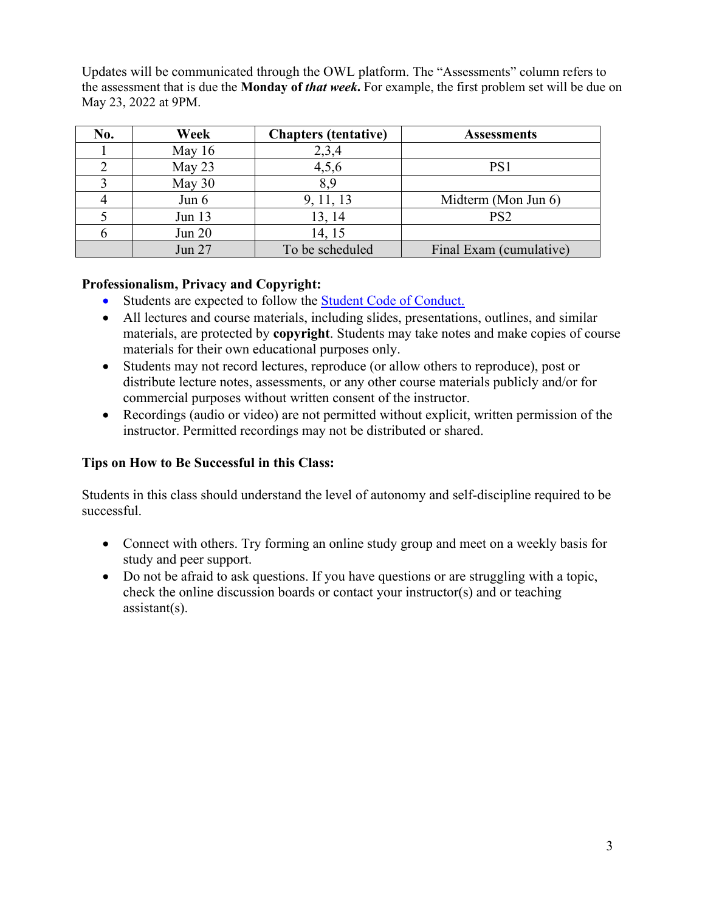Updates will be communicated through the OWL platform. The "Assessments" column refers to the assessment that is due the **Monday of** *that week***.** For example, the first problem set will be due on May 23, 2022 at 9PM.

| No. | Week     | <b>Chapters</b> (tentative) | <b>Assessments</b>      |
|-----|----------|-----------------------------|-------------------------|
|     | May $16$ | 2,3,4                       |                         |
|     | May 23   | 4,5,6                       | PS1                     |
|     | May 30   | 8.9                         |                         |
|     | Jun $6$  | 9, 11, 13                   | Midterm (Mon Jun 6)     |
|     | Jun 13   | 13, 14                      | PS <sub>2</sub>         |
|     | Jun $20$ | 14, 15                      |                         |
|     | Jun 27   | To be scheduled             | Final Exam (cumulative) |

# **Professionalism, Privacy and Copyright:**

- Students are expected to follow the **Student Code of Conduct.**
- All lectures and course materials, including slides, presentations, outlines, and similar materials, are protected by **copyright**. Students may take notes and make copies of course materials for their own educational purposes only.
- Students may not record lectures, reproduce (or allow others to reproduce), post or distribute lecture notes, assessments, or any other course materials publicly and/or for commercial purposes without written consent of the instructor.
- Recordings (audio or video) are not permitted without explicit, written permission of the instructor. Permitted recordings may not be distributed or shared.

# **Tips on How to Be Successful in this Class:**

Students in this class should understand the level of autonomy and self-discipline required to be successful.

- Connect with others. Try forming an online study group and meet on a weekly basis for study and peer support.
- Do not be afraid to ask questions. If you have questions or are struggling with a topic, check the online discussion boards or contact your instructor(s) and or teaching assistant(s).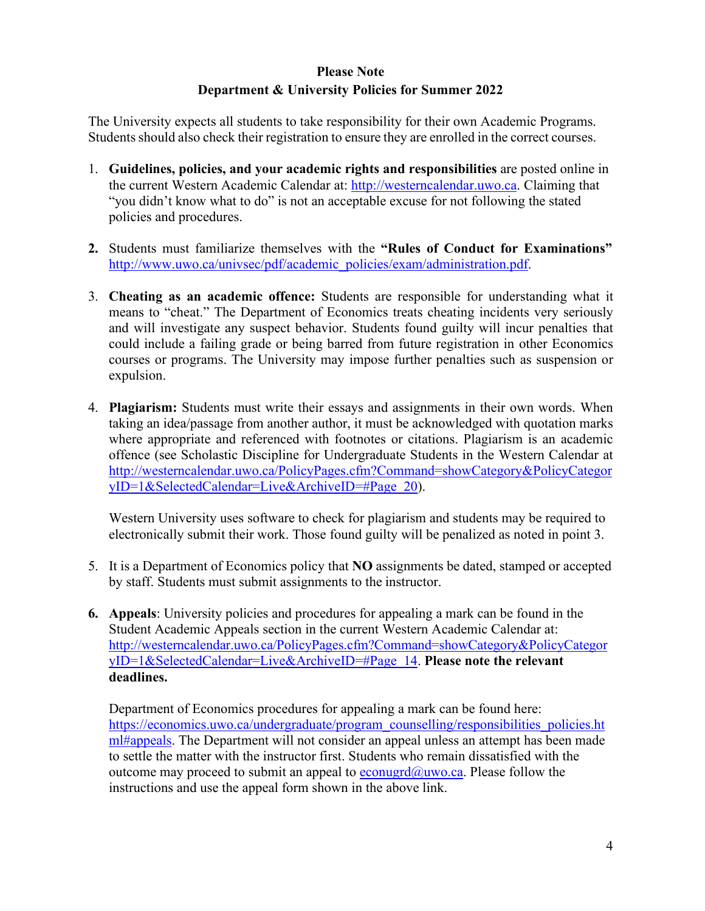# **Please Note Department & University Policies for Summer 2022**

The University expects all students to take responsibility for their own Academic Programs. Students should also check their registration to ensure they are enrolled in the correct courses.

- 1. **Guidelines, policies, and your academic rights and responsibilities** are posted online in the current Western Academic Calendar at: [http://westerncalendar.uwo.ca.](http://westerncalendar.uwo.ca/) Claiming that "you didn't know what to do" is not an acceptable excuse for not following the stated policies and procedures.
- **2.** Students must familiarize themselves with the **"Rules of Conduct for Examinations"**  [http://www.uwo.ca/univsec/pdf/academic\\_policies/exam/administration.pdf.](http://www.uwo.ca/univsec/pdf/academic_policies/exam/administration.pdf)
- 3. **Cheating as an academic offence:** Students are responsible for understanding what it means to "cheat." The Department of Economics treats cheating incidents very seriously and will investigate any suspect behavior. Students found guilty will incur penalties that could include a failing grade or being barred from future registration in other Economics courses or programs. The University may impose further penalties such as suspension or expulsion.
- 4. **Plagiarism:** Students must write their essays and assignments in their own words. When taking an idea/passage from another author, it must be acknowledged with quotation marks where appropriate and referenced with footnotes or citations. Plagiarism is an academic offence (see Scholastic Discipline for Undergraduate Students in the Western Calendar at [http://westerncalendar.uwo.ca/PolicyPages.cfm?Command=showCategory&PolicyCategor](http://westerncalendar.uwo.ca/PolicyPages.cfm?Command=showCategory&PolicyCategoryID=1&SelectedCalendar=Live&ArchiveID&Page_20)  [yID=1&SelectedCalendar=Live&ArchiveID=#Page\\_20\)](http://westerncalendar.uwo.ca/PolicyPages.cfm?Command=showCategory&PolicyCategoryID=1&SelectedCalendar=Live&ArchiveID&Page_20).

Western University uses software to check for plagiarism and students may be required to electronically submit their work. Those found guilty will be penalized as noted in point 3.

- 5. It is a Department of Economics policy that **NO** assignments be dated, stamped or accepted by staff. Students must submit assignments to the instructor.
- **6. Appeals**: University policies and procedures for appealing a mark can be found in the Student Academic Appeals section in the current Western Academic Calendar at: [http://westerncalendar.uwo.ca/PolicyPages.cfm?Command=showCategory&PolicyCategor](http://westerncalendar.uwo.ca/PolicyPages.cfm?Command=showCategory&PolicyCategoryID=1&SelectedCalendar=Live&ArchiveID&Page_14)  [yID=1&SelectedCalendar=Live&ArchiveID=#Page\\_14.](http://westerncalendar.uwo.ca/PolicyPages.cfm?Command=showCategory&PolicyCategoryID=1&SelectedCalendar=Live&ArchiveID&Page_14) **Please note the relevant deadlines.**

Department of Economics procedures for appealing a mark can be found here: https://economics.uwo.ca/undergraduate/program\_counselling/responsibilities\_policies.ht [ml#appeals. T](https://economics.uwo.ca/undergraduate/program_counselling/responsibilities_policies.html#appeals)he Department will not consider an appeal unless an attempt has been made to settle the matter with the instructor first. Students who remain dissatisfied with the outcome may proceed to submit an appeal to  $e_{\text{conugrd}}(\hat{a}_{\text{ouvo.ca}})$ . Please follow the instructions and use the appeal form shown in the above link.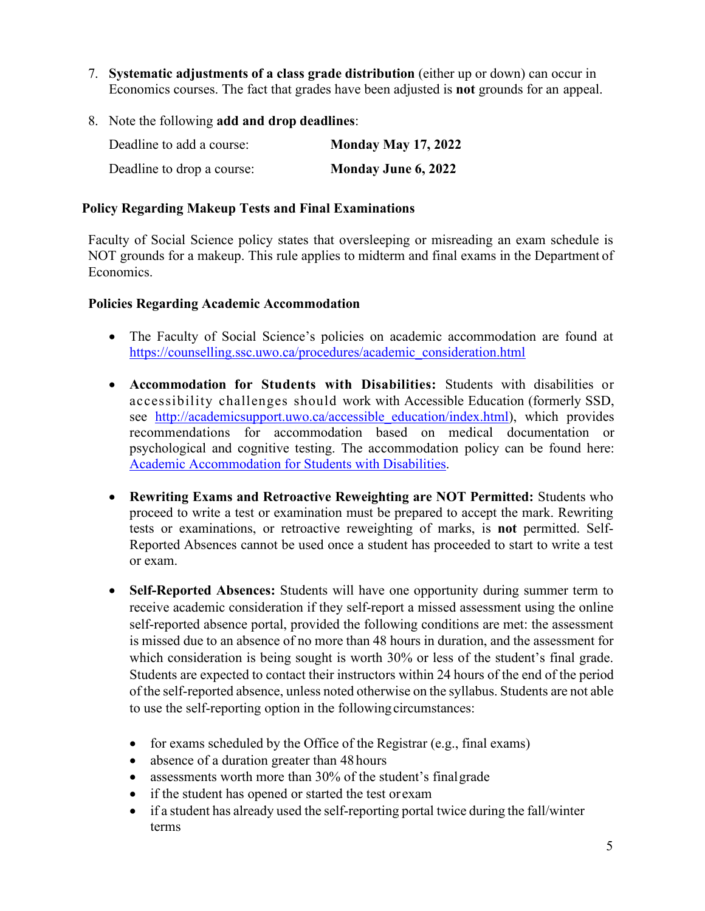- 7. **Systematic adjustments of a class grade distribution** (either up or down) can occur in Economics courses. The fact that grades have been adjusted is **not** grounds for an appeal.
- 8. Note the following **add and drop deadlines**:

| Deadline to add a course:  | <b>Monday May 17, 2022</b> |
|----------------------------|----------------------------|
| Deadline to drop a course: | <b>Monday June 6, 2022</b> |

## **Policy Regarding Makeup Tests and Final Examinations**

Faculty of Social Science policy states that oversleeping or misreading an exam schedule is NOT grounds for a makeup. This rule applies to midterm and final exams in the Department of Economics.

#### **Policies Regarding Academic Accommodation**

- The Faculty of Social Science's policies on academic accommodation are found at [https://counselling.ssc.uwo.ca/procedures/academic\\_consideration.html](https://counselling.ssc.uwo.ca/procedures/academic_consideration.html)
- **Accommodation for Students with Disabilities:** Students with disabilities or accessibility challenges should work with Accessible Education (formerly SSD, see http://academicsupport.uwo.ca/accessible education/index.html), which provides recommendations for accommodation based on medical documentation or psychological and cognitive testing. The accommodation policy can be found here[:](https://www.uwo.ca/univsec/pdf/academic_policies/appeals/Academic%20Accommodation_disabilities.pdf)  [Academic Accommodation for Students with Disabilities.](https://www.uwo.ca/univsec/pdf/academic_policies/appeals/Academic%20Accommodation_disabilities.pdf)
- **Rewriting Exams and Retroactive Reweighting are NOT Permitted:** Students who proceed to write a test or examination must be prepared to accept the mark. Rewriting tests or examinations, or retroactive reweighting of marks, is **not** permitted. Self-Reported Absences cannot be used once a student has proceeded to start to write a test or exam.
- **Self-Reported Absences:** Students will have one opportunity during summer term to receive academic consideration if they self-report a missed assessment using the online self-reported absence portal, provided the following conditions are met: the assessment is missed due to an absence of no more than 48 hours in duration, and the assessment for which consideration is being sought is worth 30% or less of the student's final grade. Students are expected to contact their instructors within 24 hours of the end of the period of the self-reported absence, unless noted otherwise on the syllabus. Students are not able to use the self-reporting option in the following circumstances:
	- for exams scheduled by the Office of the Registrar (e.g., final exams)
	- absence of a duration greater than 48 hours
	- assessments worth more than 30% of the student's final grade
	- if the student has opened or started the test or exam
	- if a student has already used the self-reporting portal twice during the fall/winter terms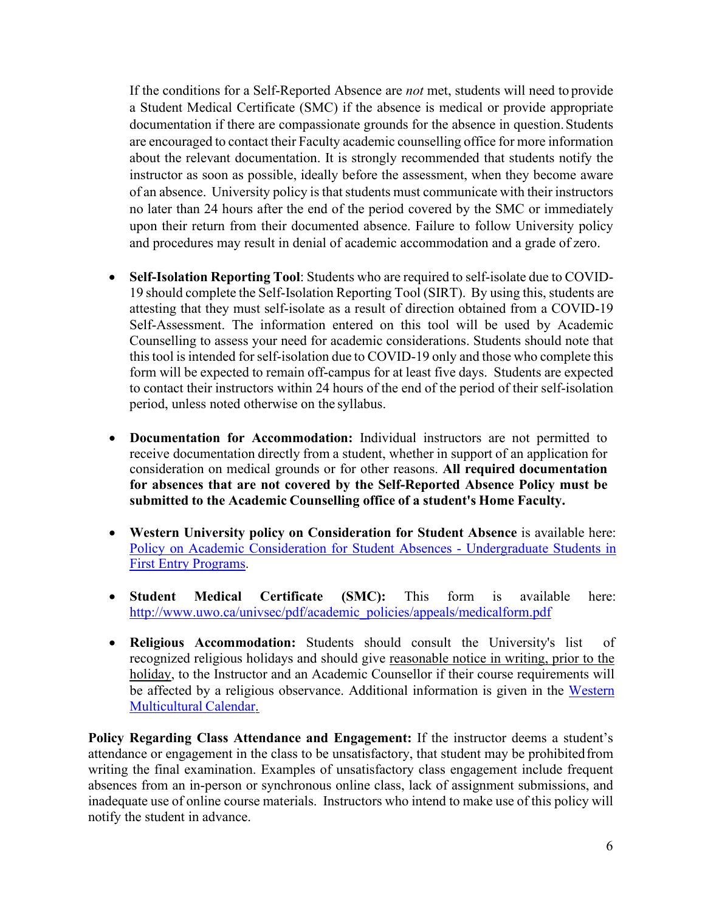If the conditions for a Self-Reported Absence are *not* met, students will need to provide a Student Medical Certificate (SMC) if the absence is medical or provide appropriate documentation if there are compassionate grounds for the absence in question. Students are encouraged to contact their Faculty academic counselling office for more information about the relevant documentation. It is strongly recommended that students notify the instructor as soon as possible, ideally before the assessment, when they become aware of an absence. University policy is that students must communicate with their instructors no later than 24 hours after the end of the period covered by the SMC or immediately upon their return from their documented absence. Failure to follow University policy and procedures may result in denial of academic accommodation and a grade of zero.

- **Self-Isolation Reporting Tool**: Students who are required to self-isolate due to COVID-19 should complete the Self-Isolation Reporting Tool (SIRT). By using this, students are attesting that they must self-isolate as a result of direction obtained from a COVID-19 Self-Assessment. The information entered on this tool will be used by Academic Counselling to assess your need for academic considerations. Students should note that this tool is intended for self-isolation due to COVID-19 only and those who complete this form will be expected to remain off-campus for at least five days. Students are expected to contact their instructors within 24 hours of the end of the period of their self-isolation period, unless noted otherwise on the syllabus.
- **Documentation for Accommodation:** Individual instructors are not permitted to receive documentation directly from a student, whether in support of an application for consideration on medical grounds or for other reasons. **All required documentation for absences that are not covered by the Self-Reported Absence Policy must be submitted to the Academic Counselling office of a student's Home Faculty.**
- **Western University policy on Consideration for Student Absence** is available here[:](https://www.uwo.ca/univsec/pdf/academic_policies/appeals/accommodation_illness.pdf)  [Policy on Academic Consideration for Student Absences -](https://www.uwo.ca/univsec/pdf/academic_policies/appeals/accommodation_illness.pdf) Undergraduate Students i[n](https://www.uwo.ca/univsec/pdf/academic_policies/appeals/accommodation_illness.pdf)  [First Entry Programs.](https://www.uwo.ca/univsec/pdf/academic_policies/appeals/accommodation_illness.pdf)
- **Student Medical Certificate (SMC):** This form is available here[:](http://www.uwo.ca/univsec/pdf/academic_policies/appeals/medicalform.pdf)  [http://www.uwo.ca/univsec/pdf/academic\\_policies/appeals/medicalform.pdf](http://www.uwo.ca/univsec/pdf/academic_policies/appeals/medicalform.pdf)
- **Religious Accommodation:** Students should consult the University's list of recognized religious holidays and should give reasonable notice in writing, prior to the holiday, to the Instructor and an Academic Counsellor if their course requirements will be affected by a religious observance. Additional information is given in the [Western](https://multiculturalcalendar.com/ecal/index.php?s=c-univwo)  [Multicultural Calendar.](https://multiculturalcalendar.com/ecal/index.php?s=c-univwo)

**Policy Regarding Class Attendance and Engagement:** If the instructor deems a student's attendance or engagement in the class to be unsatisfactory, that student may be prohibitedfrom writing the final examination. Examples of unsatisfactory class engagement include frequent absences from an in-person or synchronous online class, lack of assignment submissions, and inadequate use of online course materials. Instructors who intend to make use of this policy will notify the student in advance.